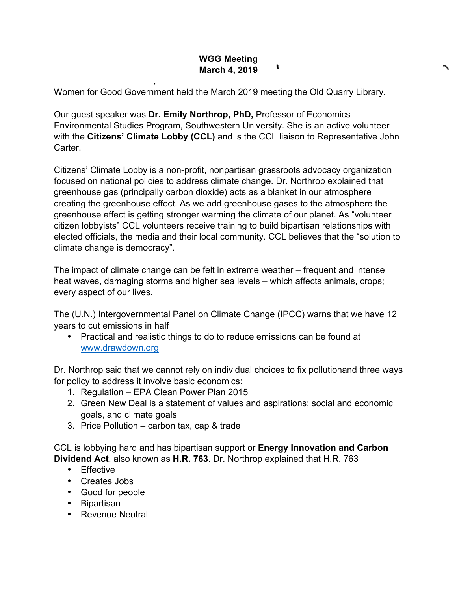## **WGG Meeting**   $\mathbf{r}$ **March 4, 2019**

Women for Good Government held the March 2019 meeting the Old Quarry Library.

Our guest speaker was **Dr. Emily Northrop, PhD,** Professor of Economics Environmental Studies Program, Southwestern University. She is an active volunteer with the **Citizens' Climate Lobby (CCL)** and is the CCL liaison to Representative John Carter.

Citizens' Climate Lobby is a non-profit, nonpartisan grassroots advocacy organization focused on national policies to address climate change. Dr. Northrop explained that greenhouse gas (principally carbon dioxide) acts as a blanket in our atmosphere creating the greenhouse effect. As we add greenhouse gases to the atmosphere the greenhouse effect is getting stronger warming the climate of our planet. As "volunteer citizen lobbyists" CCL volunteers receive training to build bipartisan relationships with elected officials, the media and their local community. CCL believes that the "solution to climate change is democracy".

The impact of climate change can be felt in extreme weather – frequent and intense heat waves, damaging storms and higher sea levels – which affects animals, crops; every aspect of our lives.

The (U.N.) Intergovernmental Panel on Climate Change (IPCC) warns that we have 12 years to cut emissions in half

• Practical and realistic things to do to reduce emissions can be found at www.drawdown.org

Dr. Northrop said that we cannot rely on individual choices to fix pollutionand three ways for policy to address it involve basic economics:

1. Regulation – EPA Clean Power Plan 2015

,

- 2. Green New Deal is a statement of values and aspirations; social and economic goals, and climate goals
- 3. Price Pollution carbon tax, cap & trade

CCL is lobbying hard and has bipartisan support or **Energy Innovation and Carbon Dividend Act**, also known as **H.R. 763**. Dr. Northrop explained that H.R. 763

- Effective
- Creates Jobs
- Good for people
- Bipartisan
- Revenue Neutral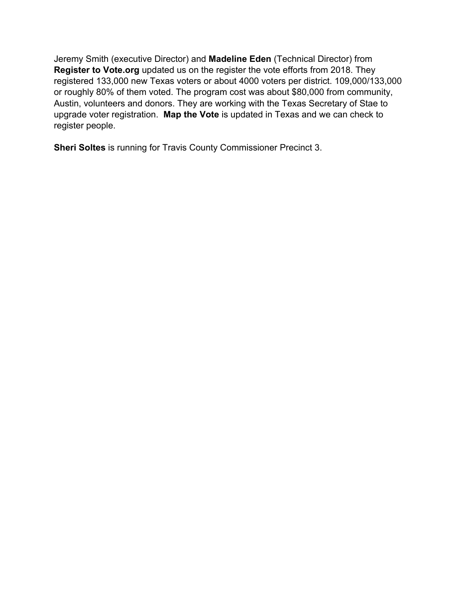Jeremy Smith (executive Director) and **Madeline Eden** (Technical Director) from **Register to Vote.org** updated us on the register the vote efforts from 2018. They registered 133,000 new Texas voters or about 4000 voters per district. 109,000/133,000 or roughly 80% of them voted. The program cost was about \$80,000 from community, Austin, volunteers and donors. They are working with the Texas Secretary of Stae to upgrade voter registration. **Map the Vote** is updated in Texas and we can check to register people.

**Sheri Soltes** is running for Travis County Commissioner Precinct 3.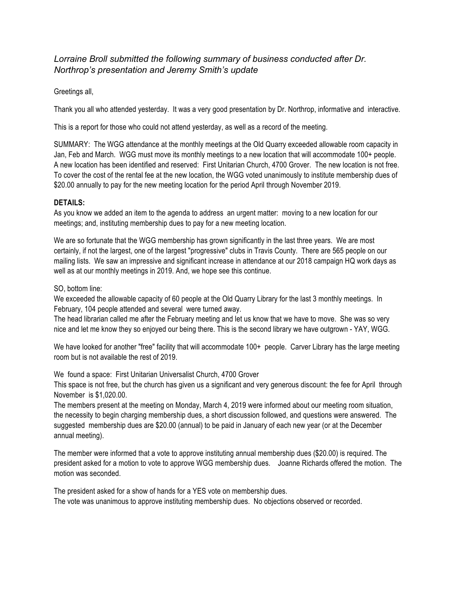*Lorraine Broll submitted the following summary of business conducted after Dr. Northrop's presentation and Jeremy Smith's update*

Greetings all,

Thank you all who attended yesterday. It was a very good presentation by Dr. Northrop, informative and interactive.

This is a report for those who could not attend yesterday, as well as a record of the meeting.

SUMMARY: The WGG attendance at the monthly meetings at the Old Quarry exceeded allowable room capacity in Jan, Feb and March. WGG must move its monthly meetings to a new location that will accommodate 100+ people. A new location has been identified and reserved: First Unitarian Church, 4700 Grover. The new location is not free. To cover the cost of the rental fee at the new location, the WGG voted unanimously to institute membership dues of \$20.00 annually to pay for the new meeting location for the period April through November 2019.

## **DETAILS:**

As you know we added an item to the agenda to address an urgent matter: moving to a new location for our meetings; and, instituting membership dues to pay for a new meeting location.

We are so fortunate that the WGG membership has grown significantly in the last three years. We are most certainly, if not the largest, one of the largest "progressive" clubs in Travis County. There are 565 people on our mailing lists. We saw an impressive and significant increase in attendance at our 2018 campaign HQ work days as well as at our monthly meetings in 2019. And, we hope see this continue.

SO, bottom line:

We exceeded the allowable capacity of 60 people at the Old Quarry Library for the last 3 monthly meetings. In February, 104 people attended and several were turned away.

The head librarian called me after the February meeting and let us know that we have to move. She was so very nice and let me know they so enjoyed our being there. This is the second library we have outgrown - YAY, WGG.

We have looked for another "free" facility that will accommodate 100+ people. Carver Library has the large meeting room but is not available the rest of 2019.

We found a space: First Unitarian Universalist Church, 4700 Grover

This space is not free, but the church has given us a significant and very generous discount: the fee for April through November is \$1,020.00.

The members present at the meeting on Monday, March 4, 2019 were informed about our meeting room situation, the necessity to begin charging membership dues, a short discussion followed, and questions were answered. The suggested membership dues are \$20.00 (annual) to be paid in January of each new year (or at the December annual meeting).

The member were informed that a vote to approve instituting annual membership dues (\$20.00) is required. The president asked for a motion to vote to approve WGG membership dues. Joanne Richards offered the motion. The motion was seconded.

The president asked for a show of hands for a YES vote on membership dues. The vote was unanimous to approve instituting membership dues. No objections observed or recorded.